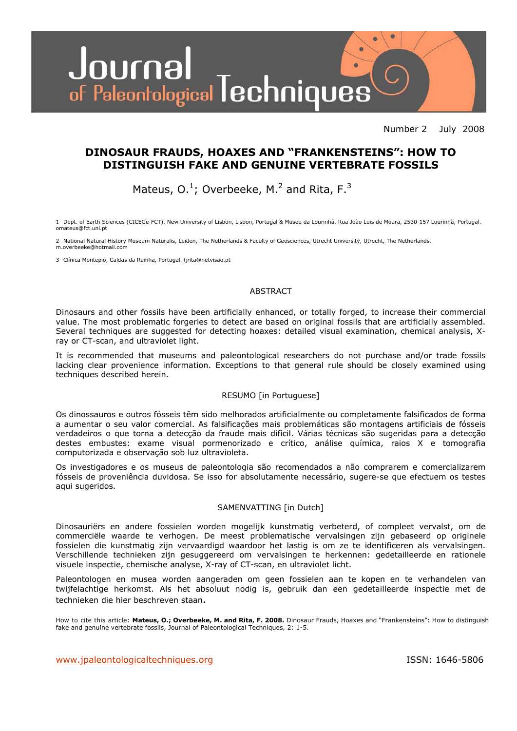

Number 2 July 2008

### **DINOSAUR FRAUDS, HOAXES AND "FRANKENSTEINS": HOW TO DISTINGUISH FAKE AND GENUINE VERTEBRATE FOSSILS**

Mateus,  $0.^1$ ; Overbeeke, M.<sup>2</sup> and Rita, F.<sup>3</sup>

1- Dept. of Earth Sciences (CICEGe-FCT), New University of Lisbon, Lisbon, Portugal & Museu da Lourinhã, Rua João Luis de Moura, 2530-157 Lourinhã, Portugal. omateus@fct.unl.pt

2- National Natural History Museum Naturalis, Leiden, The Netherlands & Faculty of Geosciences, Utrecht University, Utrecht, The Netherlands. m.overbeeke@hotmail.com

3- Clínica Montepio, Caldas da Rainha, Portugal. fjrita@netvisao.pt

#### ABSTRACT

Dinosaurs and other fossils have been artificially enhanced, or totally forged, to increase their commercial value. The most problematic forgeries to detect are based on original fossils that are artificially assembled. Several techniques are suggested for detecting hoaxes: detailed visual examination, chemical analysis, Xray or CT-scan, and ultraviolet light.

It is recommended that museums and paleontological researchers do not purchase and/or trade fossils lacking clear provenience information. Exceptions to that general rule should be closely examined using techniques described herein.

#### RESUMO [in Portuguese]

Os dinossauros e outros fósseis têm sido melhorados artificialmente ou completamente falsificados de forma a aumentar o seu valor comercial. As falsificações mais problemáticas são montagens artificiais de fósseis verdadeiros o que torna a detecção da fraude mais difícil. Várias técnicas são sugeridas para a detecção destes embustes: exame visual pormenorizado e crítico, análise química, raios X e tomografia computorizada e observação sob luz ultravioleta.

Os investigadores e os museus de paleontologia são recomendados a não comprarem e comercializarem fósseis de proveniência duvidosa. Se isso for absolutamente necessário, sugere-se que efectuem os testes aqui sugeridos.

#### SAMENVATTING [in Dutch]

Dinosauriërs en andere fossielen worden mogelijk kunstmatig verbeterd, of compleet vervalst, om de commerciële waarde te verhogen. De meest problematische vervalsingen zijn gebaseerd op originele fossielen die kunstmatig zijn vervaardigd waardoor het lastig is om ze te identificeren als vervalsingen. Verschillende technieken zijn gesuggereerd om vervalsingen te herkennen: gedetailleerde en rationele visuele inspectie, chemische analyse, X-ray of CT-scan, en ultraviolet licht.

Paleontologen en musea worden aangeraden om geen fossielen aan te kopen en te verhandelen van twijfelachtige herkomst. Als het absoluut nodig is, gebruik dan een gedetailleerde inspectie met de technieken die hier beschreven staan.

How to cite this article: **Mateus, O.; Overbeeke, M. and Rita, F. 2008.** Dinosaur Frauds, Hoaxes and "Frankensteins": How to distinguish fake and genuine vertebrate fossils, Journal of Paleontological Techniques, 2: 1-5.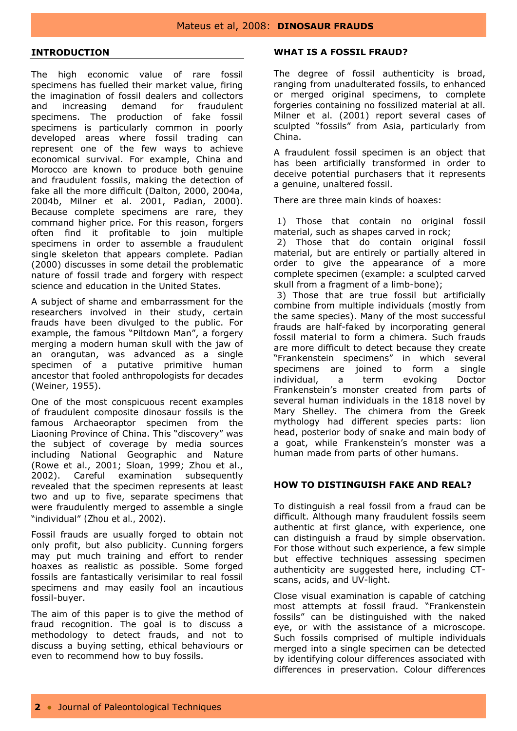#### **INTRODUCTION**

I

The high economic value of rare fossil specimens has fuelled their market value, firing the imagination of fossil dealers and collectors and increasing demand for fraudulent specimens. The production of fake fossil specimens is particularly common in poorly developed areas where fossil trading can represent one of the few ways to achieve economical survival. For example, China and Morocco are known to produce both genuine and fraudulent fossils, making the detection of fake all the more difficult (Dalton, 2000, 2004a, 2004b, Milner *et al*. 2001, Padian, 2000). Because complete specimens are rare, they command higher price. For this reason, forgers often find it profitable to join multiple specimens in order to assemble a fraudulent single skeleton that appears complete. Padian (2000) discusses in some detail the problematic nature of fossil trade and forgery with respect science and education in the United States.

A subject of shame and embarrassment for the researchers involved in their study, certain frauds have been divulged to the public. For example, the famous "Piltdown Man", a forgery merging a modern human skull with the jaw of an orangutan, was advanced as a single specimen of a putative primitive human ancestor that fooled anthropologists for decades (Weiner, 1955).

One of the most conspicuous recent examples of fraudulent composite dinosaur fossils is the famous *Archaeoraptor* specimen from the Liaoning Province of China. This "discovery" was the subject of coverage by media sources including *National Geographic* and *Nature* (Rowe et al., 2001; Sloan, 1999; Zhou et al., 2002). Careful examination subsequently revealed that the specimen represents at least two and up to five, separate specimens that were fraudulently merged to assemble a single "individual" (Zhou et al., 2002).

Fossil frauds are usually forged to obtain not only profit, but also publicity. Cunning forgers may put much training and effort to render hoaxes as realistic as possible. Some forged fossils are fantastically verisimilar to real fossil specimens and may easily fool an incautious fossil-buyer.

The aim of this paper is to give the method of fraud recognition. The goal is to discuss a methodology to detect frauds, and not to discuss a buying setting, ethical behaviours or even to recommend how to buy fossils.

#### **WHAT IS A FOSSIL FRAUD?**

The degree of fossil authenticity is broad, ranging from unadulterated fossils, to enhanced or merged original specimens, to complete forgeries containing no fossilized material at all. Milner *et al*. (2001) report several cases of sculpted "fossils" from Asia, particularly from China.

A fraudulent fossil specimen is an object that has been artificially transformed in order to deceive potential purchasers that it represents a genuine, unaltered fossil.

There are three main kinds of hoaxes:

 1) Those that contain no original fossil material, such as shapes carved in rock;

 2) Those that do contain original fossil material, but are entirely or partially altered in order to give the appearance of a more complete specimen (example: a sculpted carved skull from a fragment of a limb-bone);

 3) Those that are true fossil but artificially combine from multiple individuals (mostly from the same species). Many of the most successful frauds are half-faked by incorporating general fossil material to form a chimera. Such frauds are more difficult to detect because they create "Frankenstein specimens" in which several specimens are joined to form a single individual, a term evoking Doctor Frankenstein's monster created from parts of several human individuals in the 1818 novel by Mary Shelley. The chimera from the Greek mythology had different species parts: lion head, posterior body of snake and main body of a goat, while Frankenstein's monster was a human made from parts of other humans.

#### **HOW TO DISTINGUISH FAKE AND REAL?**

To distinguish a real fossil from a fraud can be difficult. Although many fraudulent fossils seem authentic at first glance, with experience, one can distinguish a fraud by simple observation. For those without such experience, a few simple but effective techniques assessing specimen authenticity are suggested here, including CTscans, acids, and UV-light.

Close visual examination is capable of catching most attempts at fossil fraud. "Frankenstein fossils" can be distinguished with the naked eye, or with the assistance of a microscope. Such fossils comprised of multiple individuals merged into a single specimen can be detected by identifying colour differences associated with differences in preservation. Colour differences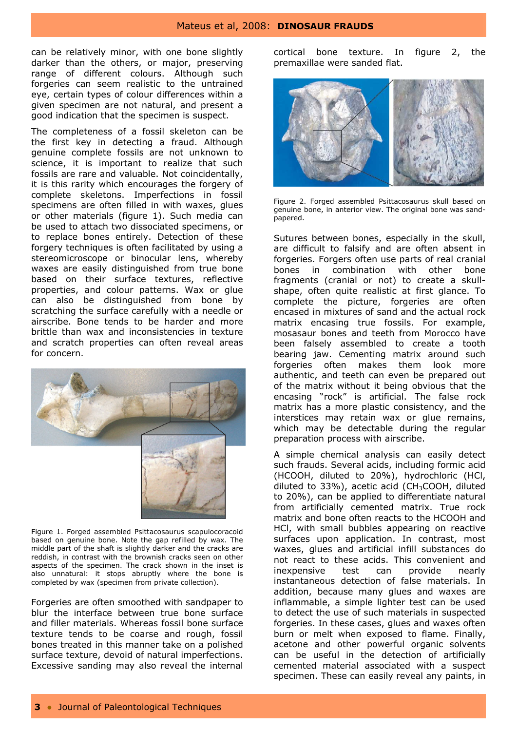can be relatively minor, with one bone slightly darker than the others, or major, preserving range of different colours. Although such forgeries can seem realistic to the untrained eye, certain types of colour differences within a given specimen are not natural, and present a good indication that the specimen is suspect.

I

The completeness of a fossil skeleton can be the first key in detecting a fraud. Although genuine complete fossils are not unknown to science, it is important to realize that such fossils are rare and valuable. Not coincidentally, it is this rarity which encourages the forgery of complete skeletons. Imperfections in fossil specimens are often filled in with waxes, glues or other materials (figure 1). Such media can be used to attach two dissociated specimens, or to replace bones entirely. Detection of these forgery techniques is often facilitated by using a stereomicroscope or binocular lens, whereby waxes are easily distinguished from true bone based on their surface textures, reflective properties, and colour patterns. Wax or glue can also be distinguished from bone by scratching the surface carefully with a needle or airscribe. Bone tends to be harder and more brittle than wax and inconsistencies in texture and scratch properties can often reveal areas for concern.



Figure 1. Forged assembled *Psittacosaurus* scapulocoracoid based on genuine bone. Note the gap refilled by wax. The middle part of the shaft is slightly darker and the cracks are reddish, in contrast with the brownish cracks seen on other aspects of the specimen. The crack shown in the inset is also unnatural: it stops abruptly where the bone is completed by wax (specimen from private collection).

Forgeries are often smoothed with sandpaper to blur the interface between true bone surface and filler materials. Whereas fossil bone surface texture tends to be coarse and rough, fossil bones treated in this manner take on a polished surface texture, devoid of natural imperfections. Excessive sanding may also reveal the internal cortical bone texture. In figure 2, the premaxillae were sanded flat.



Figure 2. Forged assembled *Psittacosaurus* skull based on genuine bone, in anterior view. The original bone was sandpapered.

Sutures between bones, especially in the skull, are difficult to falsify and are often absent in forgeries. Forgers often use parts of real cranial bones in combination with other bone fragments (cranial or not) to create a skullshape, often quite realistic at first glance. To complete the picture, forgeries are often encased in mixtures of sand and the actual rock matrix encasing true fossils. For example, mosasaur bones and teeth from Morocco have been falsely assembled to create a tooth bearing jaw. Cementing matrix around such forgeries often makes them look more authentic, and teeth can even be prepared out of the matrix without it being obvious that the encasing "rock" is artificial. The false rock matrix has a more plastic consistency, and the interstices may retain wax or glue remains, which may be detectable during the regular preparation process with airscribe.

A simple chemical analysis can easily detect such frauds. Several acids, including formic acid (HCOOH, diluted to 20%), hydrochloric (HCl, diluted to 33%), acetic acid (CH<sub>3</sub>COOH, diluted to 20%), can be applied to differentiate natural from artificially cemented matrix. True rock matrix and bone often reacts to the HCOOH and HCl, with small bubbles appearing on reactive surfaces upon application. In contrast, most waxes, glues and artificial infill substances do not react to these acids. This convenient and inexpensive test can provide nearly instantaneous detection of false materials. In addition, because many glues and waxes are inflammable, a simple lighter test can be used to detect the use of such materials in suspected forgeries. In these cases, glues and waxes often burn or melt when exposed to flame. Finally, acetone and other powerful organic solvents can be useful in the detection of artificially cemented material associated with a suspect specimen. These can easily reveal any paints, in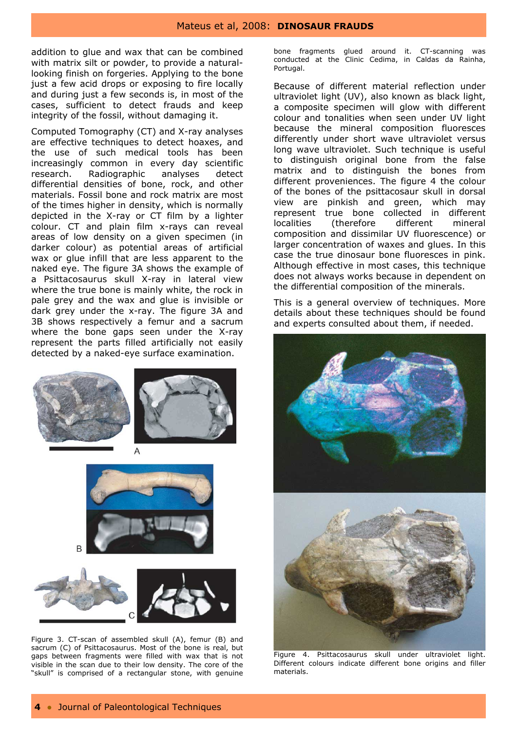addition to glue and wax that can be combined with matrix silt or powder, to provide a naturallooking finish on forgeries. Applying to the bone just a few acid drops or exposing to fire locally and during just a few seconds is, in most of the cases, sufficient to detect frauds and keep integrity of the fossil, without damaging it.

I

Computed Tomography (CT) and X-ray analyses are effective techniques to detect hoaxes, and the use of such medical tools has been increasingly common in every day scientific research. Radiographic analyses detect differential densities of bone, rock, and other materials. Fossil bone and rock matrix are most of the times higher in density, which is normally depicted in the X-ray or CT film by a lighter colour. CT and plain film x-rays can reveal areas of low density on a given specimen (in darker colour) as potential areas of artificial wax or glue infill that are less apparent to the naked eye. The figure 3A shows the example of a *Psittacosaurus* skull X-ray in lateral view where the true bone is mainly white, the rock in pale grey and the wax and glue is invisible or dark grey under the x-ray. The figure 3A and 3B shows respectively a femur and a sacrum where the bone gaps seen under the X-ray represent the parts filled artificially not easily detected by a naked-eye surface examination.



Figure 3. CT-scan of assembled skull (A), femur (B) and sacrum (C) of *Psittacosaurus*. Most of the bone is real, but gaps between fragments were filled with wax that is not visible in the scan due to their low density. The core of the "skull" is comprised of a rectangular stone, with genuine

bone fragments glued around it. CT-scanning was conducted at the Clinic Cedima, in Caldas da Rainha, Portugal.

Because of different material reflection under ultraviolet light (UV), also known as black light, a composite specimen will glow with different colour and tonalities when seen under UV light because the mineral composition fluoresces differently under short wave ultraviolet versus long wave ultraviolet. Such technique is useful to distinguish original bone from the false matrix and to distinguish the bones from different proveniences. The figure 4 the colour of the bones of the psittacosaur skull in dorsal view are pinkish and green, which may represent true bone collected in different localities (therefore different mineral composition and dissimilar UV fluorescence) or larger concentration of waxes and glues. In this case the true dinosaur bone fluoresces in pink. Although effective in most cases, this technique does not always works because in dependent on the differential composition of the minerals.

This is a general overview of techniques. More details about these techniques should be found and experts consulted about them, if needed.



Figure 4. *Psittacosaurus* skull under ultraviolet light. Different colours indicate different bone origins and filler materials.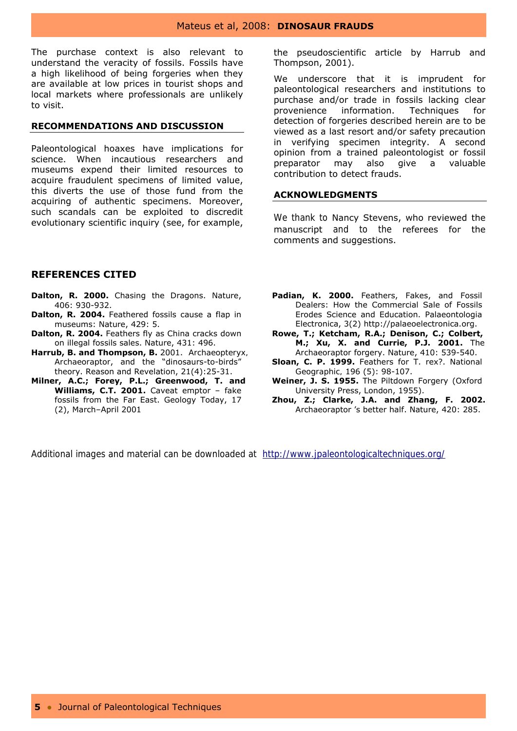The purchase context is also relevant to understand the veracity of fossils. Fossils have a high likelihood of being forgeries when they are available at low prices in tourist shops and local markets where professionals are unlikely to visit.

#### **RECOMMENDATIONS AND DISCUSSION**

Paleontological hoaxes have implications for science. When incautious researchers and museums expend their limited resources to acquire fraudulent specimens of limited value, this diverts the use of those fund from the acquiring of authentic specimens. Moreover, such scandals can be exploited to discredit evolutionary scientific inquiry (see, for example,

the pseudoscientific article by Harrub and Thompson, 2001).

We underscore that it is imprudent for paleontological researchers and institutions to purchase and/or trade in fossils lacking clear provenience information. Techniques for detection of forgeries described herein are to be viewed as a last resort and/or safety precaution in verifying specimen integrity. A second opinion from a trained paleontologist or fossil preparator may also give a valuable contribution to detect frauds.

#### **ACKNOWLEDGMENTS**

We thank to Nancy Stevens, who reviewed the manuscript and to the referees for the comments and suggestions.

#### **REFERENCES CITED**

I

- **Dalton, R. 2000.** Chasing the Dragons. Nature, 406: 930-932.
- **Dalton, R. 2004.** Feathered fossils cause a flap in museums: Nature, 429: 5.
- **Dalton, R. 2004.** Feathers fly as China cracks down on illegal fossils sales. Nature, 431: 496.
- **Harrub, B. and Thompson, B.** 2001. *Archaeopteryx, Archaeoraptor*, and the "dinosaurs-to-birds" theory. Reason and Revelation, 21(4):25-31.
- **Milner, A.C.; Forey, P.L.; Greenwood, T. and Williams, C.T. 2001.** Caveat emptor – fake fossils from the Far East. Geology Today, 17 (2), March–April 2001
- **Padian, K. 2000.** Feathers, Fakes, and Fossil Dealers: How the Commercial Sale of Fossils Erodes Science and Education. Palaeontologia Electronica, 3(2) http://palaeoelectronica.org.
- **Rowe, T.; Ketcham, R.A.; Denison, C.; Colbert, M.; Xu, X. and Currie, P.J. 2001.** The *Archaeoraptor* forgery. Nature, 410: 539-540.
- **Sloan, C. P. 1999.** Feathers for T. rex?. *National Geographic,* 196 (5): 98-107.
- **Weiner, J. S. 1955.** The Piltdown Forgery (Oxford University Press, London, 1955).
- **Zhou, Z.; Clarke, J.A. and Zhang, F. 2002.** Archaeoraptor 's better half. Nature, 420: 285.

Additional images and material can be downloaded at http://www.jpaleontologicaltechniques.org/